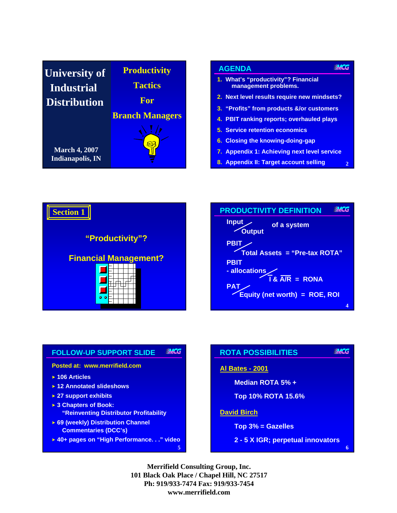| <b>University of</b>                            | <b>Productivity</b>    |
|-------------------------------------------------|------------------------|
| <b>Industrial</b>                               | <b>Tactics</b>         |
| <b>Distribution</b>                             | For                    |
|                                                 | <b>Branch Managers</b> |
| <b>March 4, 2007</b><br><b>Indianapolis, IN</b> |                        |

# Notes: **AGENDA**

- **1. What's "productivity"? Financial management problems.**
- **2. Next level results require new mindsets?**
- **3. "Profits" from products &/or customers**
- **4. PBIT ranking reports; overhauled plays**
- **5. Service retention economics**
- **6. Closing the knowing-doing-gap**
- **7. Appendix 1: Achieving next level service**

**2**

**MCG** 

**6**

**8. Appendix II: Target account selling**





#### **MCG FOLLOW-UP SUPPORT SLIDE**

#### **Posted at: www.merrifield.com**

- **106 Articles**
- **12 Annotated slideshows**
- **27 support exhibits**
- **3 Chapters of Book: "Reinventing Distributor Profitability**
- **69 (weekly) Distribution Channel Commentaries (DCC's)**
- **40+ pages on "High Performance. . ." video**

#### **MCG ROTA POSSIBILITIES**

### **Al Bates - 2001**

- **Median ROTA 5% +**
	- **Top 10% ROTA 15.6%**

### **David Birch**

- **Top 3% = Gazelles**
- **2 5 X IGR; perpetual innovators**

**Merrifield Consulting Group, Inc. 101 Black Oak Place / Chapel Hill, NC 27517 Ph: 919/933-7474 Fax: 919/933-7454 www.merrifield.com**

**5**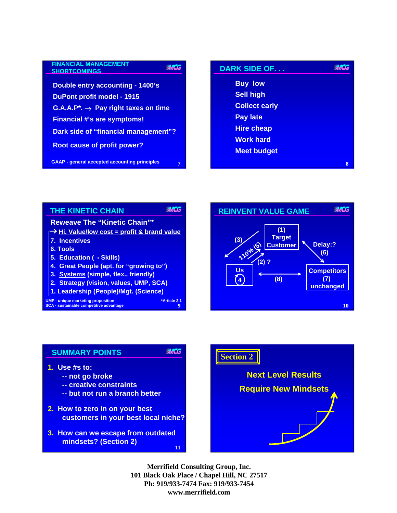| <b>FINANCIAL MANAGEMENT</b><br><b>SHORTCOMINGS</b>   |
|------------------------------------------------------|
|                                                      |
| Double entry accounting - 1400's                     |
| <b>DuPont profit model - 1915</b>                    |
| $G.A.A.P^* \rightarrow Pay right taxes on time$      |
| <b>Financial #'s are symptoms!</b>                   |
| Dark side of "financial management"?                 |
| <b>Root cause of profit power?</b>                   |
| <b>GAAP</b> - general accepted accounting principles |

| <b>FINANCIAL MANAGEMENT</b><br><b>MCG</b><br><b>SHORTCOMINGS</b> | <b>DARK SIDE OF</b>  | WHCG |
|------------------------------------------------------------------|----------------------|------|
| Double entry accounting - 1400's                                 | <b>Buy low</b>       |      |
| <b>DuPont profit model - 1915</b>                                | <b>Sell high</b>     |      |
| $G.A.A.P^* \rightarrow Pay right taxes on time$                  | <b>Collect early</b> |      |
| <b>Financial #'s are symptoms!</b>                               | <b>Pay late</b>      |      |
| <b>Dark side of "financial management"?</b>                      | <b>Hire cheap</b>    |      |
|                                                                  | <b>Work hard</b>     |      |
| <b>Root cause of profit power?</b>                               | <b>Meet budget</b>   |      |
| <b>GAAP - general accepted accounting principles</b><br>7        |                      | 8    |



**MCG** 

### **SUMMARY POINTS**

- **1. Use #s to:**
	- **-- not go broke**
	- **-- creative constraints**
	- **-- but not run a branch better**
- **2. How to zero in on your best customers in your best local niche?**
- **11 3. How can we escape from outdated mindsets? (Section 2)**



**10**

**MCG** 

**Competitors (7) unchanged**

**Delay:? (6)**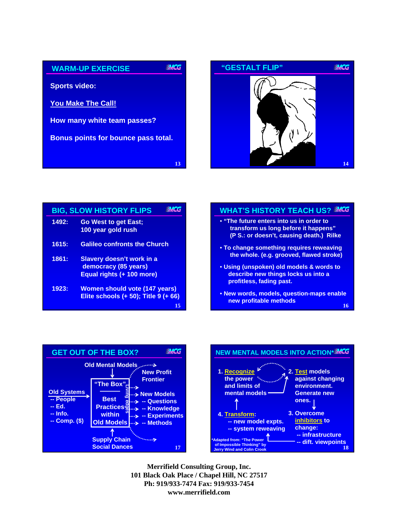



|       | <b>BIG, SLOW HISTORY FLIPS</b>                                                     |
|-------|------------------------------------------------------------------------------------|
| 1492: | <b>Go West to get East;</b><br>100 year gold rush                                  |
| 1615: | <b>Galileo confronts the Church</b>                                                |
| 1861: | Slavery doesn't work in a<br>democracy (85 years)<br>Equal rights (+ 100 more)     |
| 1923: | <b>Women should vote (147 years)</b><br>Elite schools (+ 50); Title 9 (+ 66)<br>15 |

### **WHAT'S HISTORY TEACH US?**

- **"The future enters into us in order to transform us long before it happens" (P S.: or doesn't, causing death.) Rilke** • **To change something requires reweaving the whole. (e.g. grooved, flawed stroke)** • **Using (unspoken) old models & words to describe new things locks us into a profitless, fading past.**
	- **16** • **New words, models, question-maps enable new profitable methods**



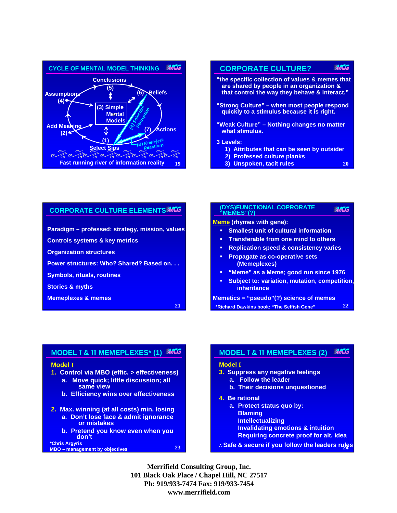



**3) Unspoken, tacit rules** 

### **CORPORATE CULTURE ELEMENTS**

**Paradigm – professed: strategy, mission, values**

**Controls systems & key metrics**

**Organization structures**

**Power structures: Who? Shared? Based on. . .**

**Symbols, rituals, routines**

**Stories & myths**

**Memeplexes & memes**

**21**

#### **(DYS)FUNCTIONAL COPRORATE**  WWCG **"MEMES"(?)**

**Meme (rhymes with gene):**

- **Smallest unit of cultural information**
- **Transferable from one mind to others**
- **Replication speed & consistency varies**
- **Propagate as co-operative sets (Memeplexes)**
- **"Meme" as a Meme; good run since 1976**
- **Subject to: variation, mutation, competition, inheritance**

**22**

**Memetics = "pseudo"(?) science of memes \*Richard Dawkins book: "The Selfish Gene"**

# **MODEL I & II MEMEPLEXES\* (1)**

### **Model I**

- **1. Control via MBO (effic. > effectiveness)**
	- **a. Move quick; little discussion; all same view**
	- **b. Efficiency wins over effectiveness**
- **2. Max. winning (at all costs) min. losing**
	- **a. Don't lose face & admit ignorance or mistakes**
- **b. Pretend you know even when you don't \*Chris Argyris**

**MBO – management by objectives 24**

#### **MACG MODEL I & II MEMEPLEXES (2)**

### **Model I**

- **3. Suppress any negative feelings a. Follow the leader**
	- **b. Their decisions unquestioned**
- **4. Be rational**
	- **a. Protect status quo by: Blaming Intellectualizing Invalidating emotions & intuition Requiring concrete proof for alt. idea**
- ∴**Safe & secure if you follow the leaders rules**

**Merrifield Consulting Group, Inc. 101 Black Oak Place / Chapel Hill, NC 27517 Ph: 919/933-7474 Fax: 919/933-7454 www.merrifield.com**

**23**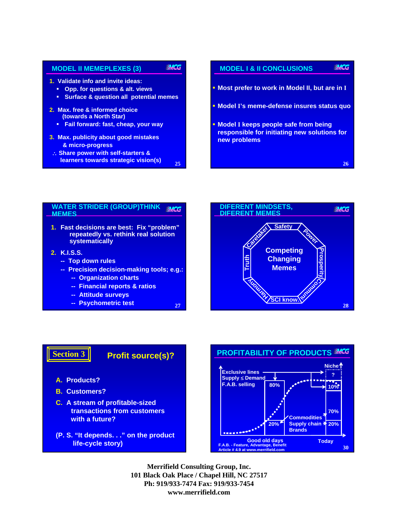#### **MCG MODEL II MEMEPLEXES (3)**

- **1. Validate info and invite ideas:**
	- **Opp. for questions & alt. views**
	- **Surface & question all potential memes**
- **2. Max. free & informed choice (towards a North Star)** 
	- **Fail forward: fast, cheap, your way**
- **3. Max. publicity about good mistakes & micro-progress**
- ∴ **Share power with self-starters &**

**25**

**27**



#### **WATER STRIDER (GROUP)THINK**  WWCG **MEMES**

- **1. Fast decisions are best: Fix "problem" repeatedly vs. rethink real solution systematically**
- **2. K.I.S.S.**
	- **-- Top down rules**
	- **-- Precision decision-making tools; e.g.:**
		- **-- Organization charts**
		- **-- Financial reports & ratios**
		- **-- Attitude surveys**
		-



### **Profit source(s)?**

**A. Products?**

**Section 3**

- **B. Customers?**
- **C. A stream of profitable-sized transactions from customers with a future?**
- **(P. S. "It depends. . ." on the product life-cycle story)**

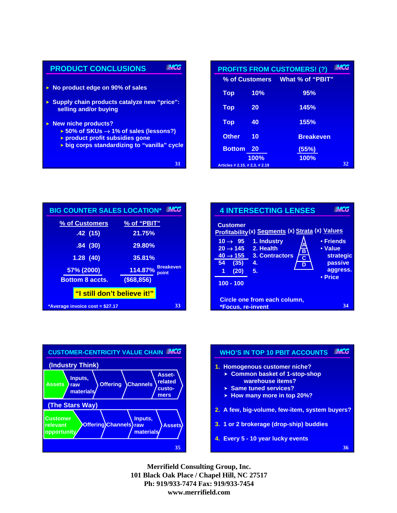

|                                |                | <b>PROFITS FROM CUSTOMERS! (?)</b> | WACG |
|--------------------------------|----------------|------------------------------------|------|
|                                | % of Customers | What % of "PBIT"                   |      |
| <b>Top</b>                     | 10%            | 95%                                |      |
| <b>Top</b>                     | 20             | 145%                               |      |
| <b>Top</b>                     | 40             | 155%                               |      |
| <b>Other</b>                   | 10             | <b>Breakeven</b>                   |      |
| <b>Bottom</b>                  | 20             | (55%)                              |      |
| Articles # 2.15, # 2.3, # 2.19 | 100%           | 100%                               | 32   |

| <b>BIG COUNTER SALES LOCATION*</b> | <b>MCG</b>                        |
|------------------------------------|-----------------------------------|
| % of Customers                     | % of "PBIT"                       |
| .42(15)                            | 21.75%                            |
| .84(30)                            | 29.80%                            |
| 1.28(40)                           | 35.81%                            |
| 57% (2000)                         | <b>Breakeven</b><br>114.87% point |
| <b>Bottom 8 accts.</b>             | ( \$68, 856)                      |
| "I still don't believe it!"        |                                   |
| *Average invoice cost = \$27.17    | 33                                |





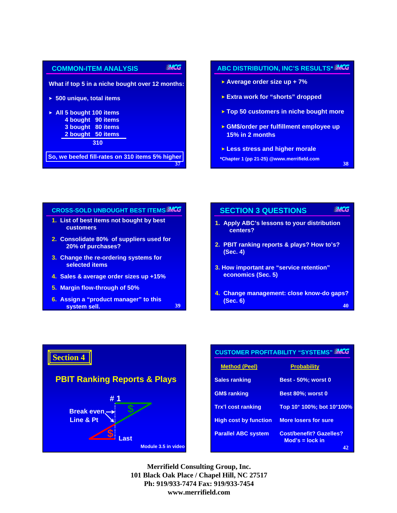| <b>COMMON-ITEM ANALYSIS</b>                     | <b>WHCG</b> |
|-------------------------------------------------|-------------|
| What if top 5 in a niche bought over 12 months: |             |
| $\triangleright$ 500 unique, total items        |             |
| $\triangleright$ All 5 bought 100 items         |             |
| 4 bought 90 items                               |             |
| 3 bought 80 items                               |             |
| 2 bought 50 items                               |             |
| 310                                             |             |
| So, we beefed fill-rates on 310 items 5% higher |             |

# **ABC DISTRIBUTION, INC'S RESULTS\***

- **Average order size up + 7%**
- **Extra work for "shorts" dropped**
- **Top 50 customers in niche bought more**
- **GM\$/order per fulfillment employee up 15% in 2 months**

**38**

- **Less stress and higher morale**
- **\*Chapter 1 (pp 21-25) @www.merrifield.com**

## **CROSS-SOLD UNBOUGHT BEST ITEMS 1. List of best items not bought by best customers 2. Consolidate 80% of suppliers used for**

- **20% of purchases?**
- **3. Change the re-ordering systems for selected items**
- **4. Sales & average order sizes up +15%**
- **5. Margin flow-through of 50%**
- **6. Assign a "product manager" to this system sell. 40 and 10 a 40 a 40 a 40 a 40 a 40**

| <b>SECTION 3 QUESTIONS</b>                                     | WACG |
|----------------------------------------------------------------|------|
| 1. Apply ABC's lessons to your distribution<br>centers?        |      |
| 2. PBIT ranking reports & plays? How to's?<br>(Sec. 4)         |      |
| 3. How important are "service retention"<br>economics (Sec. 5) |      |
| 4. Change management: close know-do gaps?<br>(Sec. 6)          |      |



| <b>CUSTOMER PROFITABILITY "SYSTEMS" MCG</b> |                                                     |
|---------------------------------------------|-----------------------------------------------------|
| <u>Method (Peel)</u>                        | <b>Probability</b>                                  |
| <b>Sales ranking</b>                        | <b>Best - 50%; worst 0</b>                          |
| <b>GM\$</b> ranking                         | Best 80%: worst 0                                   |
| <b>Trx'l cost ranking</b>                   | Top 10 <sup>+</sup> 100%; bot 10 <sup>+</sup> 100%  |
| <b>High cost by function</b>                | <b>More losers for sure</b>                         |
| <b>Parallel ABC system</b>                  | <b>Cost/benefit? Gazelles?</b><br>$Mod's = lock$ in |
|                                             | 42                                                  |

**Merrifield Consulting Group, Inc. 101 Black Oak Place / Chapel Hill, NC 27517 Ph: 919/933-7474 Fax: 919/933-7454 www.merrifield.com**

**39**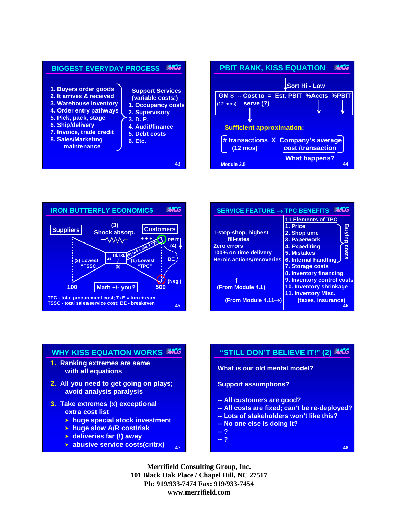





| SERVICE FEATURE $\rightarrow$ TPC BENEFITS                                                                            | <b>MAG</b>                                                                                                                                                                                                           |
|-----------------------------------------------------------------------------------------------------------------------|----------------------------------------------------------------------------------------------------------------------------------------------------------------------------------------------------------------------|
| 1-stop-shop, highest<br>fill-rates<br><b>Zero errors</b><br>100% on time delivery<br><b>Heroic actions/recoveries</b> | <b>11 Elements of TPC</b><br>1. Price<br>Bunking<br>2. Shop time<br>3. Paperwork<br>4. Expediting<br><b>COStS</b><br><b>5. Mistakes</b><br>6. Internal handling<br><b>7. Storage costs</b><br>8. Inventory financing |
| (From Module 4.1)                                                                                                     | 9. Inventory control costs<br>10. Inventory shrinkage<br><b>11. Inventory Misc.</b>                                                                                                                                  |
| (From Module 4.11 $\rightarrow$ )                                                                                     | (taxes, insurance)                                                                                                                                                                                                   |

### **WHY KISS EQUATION WORKS**

- **1. Ranking extremes are same with all equations**
- **2. All you need to get going on plays; avoid analysis paralysis**
- **3. Take extremes (x) exceptional extra cost list**
	- **huge special stock investment**
	- **huge slow A/R cost/risk**
	- **deliveries far (!) away**
	- **47 abusive service costs(cr/trx) <sup>48</sup>**

# **"STILL DON'T BELIEVE IT!" (2)**

**What is our old mental model?**

**Support assumptions?**

- **-- All customers are good?**
- **-- All costs are fixed; can't be re-deployed?**
- **-- Lots of stakeholders won't like this?**
- **-- No one else is doing it?**
- **-- ?**
- **-- ?**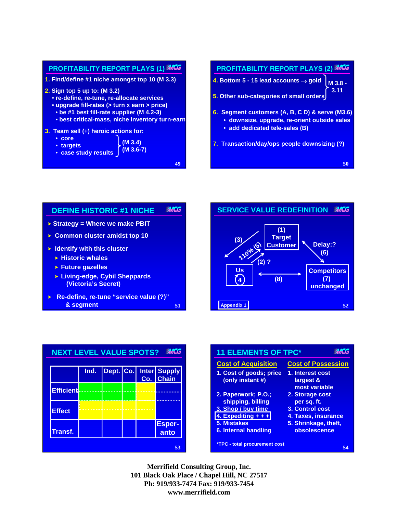

**49**

# **PROFITABILITY REPORT PLAYS (2) 50 4. Bottom 5 - 15 lead accounts** → **gold 5. Other sub-categories of small orders 6. Segment customers (A, B, C D) & serve (M3.6)** • **downsize, upgrade, re-orient outside sales** • **add dedicated tele-sales (B) 7. Transaction/day/ops people downsizing (?) M 3.8 - 3.11**







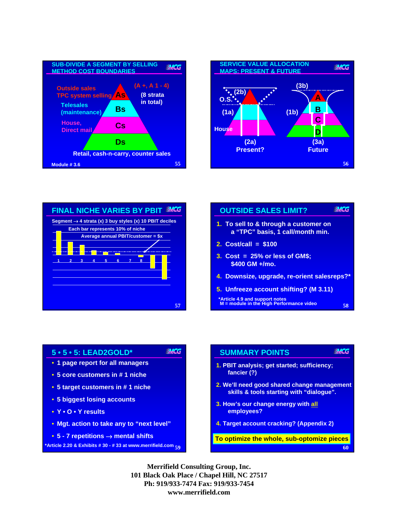







### **5 • 5 • 5: LEAD2GOLD\***

- **1 page report for all managers**
- **5 core customers in # 1 niche**
- **5 target customers in # 1 niche**
- **5 biggest losing accounts**
- **Y O Y results**
- **Mgt. action to take any to "next level"**
- **5 7 repetitions** → **mental shifts**

**59 \*Article 2.20 & Exhibits # 30 - # 33 at www.merrifield.com 60**

### **SUMMARY POINTS**

- **1. PBIT analysis; get started; sufficiency; fancier (?)**
- **2. We'll need good shared change management skills & tools starting with "dialogue".**

**MACG** 

- **3. How's our change energy with all employees?**
- **4. Target account cracking? (Appendix 2)**

**To optimize the whole, sub-optomize pieces**

**Merrifield Consulting Group, Inc. 101 Black Oak Place / Chapel Hill, NC 27517 Ph: 919/933-7474 Fax: 919/933-7454 www.merrifield.com**

**MCG**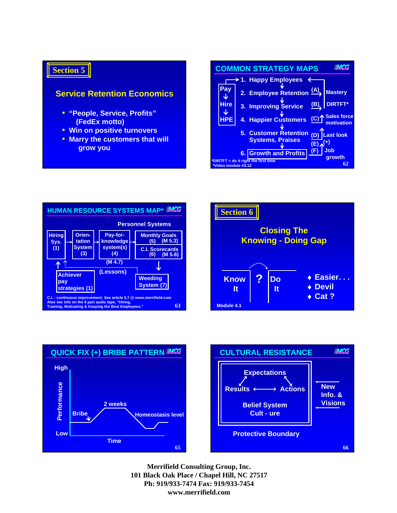# **Section 5**

## **Service Retention Economics**

- **"People, Service, Profits" (FedEx motto)**
- **Win on positive turnovers**
- **Marry the customers that will grow you**









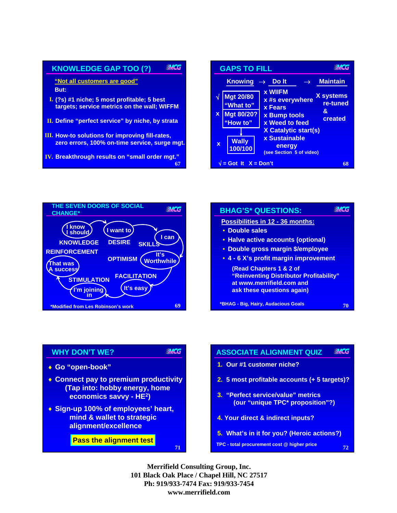

**MCG GAPS TO FILL Knowing** → **Do It** → **Maintain x WIIFM X systems Mgt 20/80** √ **x #s everywhere re-tuned "What to" x Fears & Mgt 80/20? x x Bump tools created x Weed to feed "How to" X Catalytic start(s) x Sustainable Wally x energy 100/100 (see Section 5 of video)**  $\sqrt{ }$  = Got It  $X = Don't$ **68**



| <b>BHAG'S* QUESTIONS:</b>                                                                                                     |  |
|-------------------------------------------------------------------------------------------------------------------------------|--|
| Possibilities in 12 - 36 months:                                                                                              |  |
| • Double sales                                                                                                                |  |
| • Halve active accounts (optional)                                                                                            |  |
| • Double gross margin \$/employee                                                                                             |  |
| • 4 - 6 X's profit margin improvement                                                                                         |  |
| (Read Chapters 1 & 2 of<br>"Reinventing Distributor Profitability"<br>at www.merrifield.com and<br>ask these questions again) |  |
| *BHAG - Big, Hairy, Audacious Goals                                                                                           |  |

### **WHY DON'T WE?**

- **Go "open-book"** ♦
- **Connect pay to premium productivity** ♦ **(Tap into: hobby energy, home economics savvy - HE2)**
- **Sign-up 100% of employees' heart,** ♦ **mind & wallet to strategic alignment/excellence**

**Pass the alignment test**

#### **ASSOCIATE ALIGNMENT QUIZ MACG**

- **1. Our #1 customer niche?**
- **2. 5 most profitable accounts (+ 5 targets)?**
- **3. "Perfect service/value" metrics (our "unique TPC\* proposition"?)**
- **4. Your direct & indirect inputs?**
- **5. What's in it for you? (Heroic actions?)**

**72**

**TPC - total procurement cost @ higher price**

**Merrifield Consulting Group, Inc. 101 Black Oak Place / Chapel Hill, NC 27517 Ph: 919/933-7474 Fax: 919/933-7454 www.merrifield.com**

**71**

**MCG**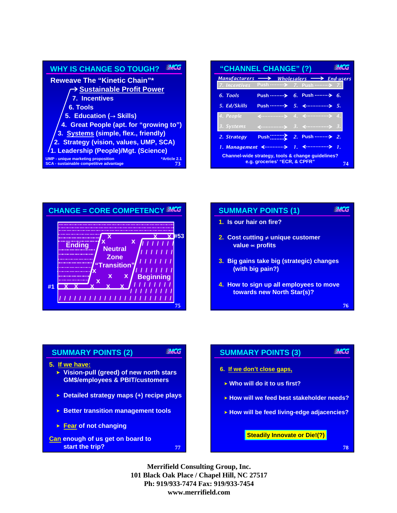| <b>MACG</b><br><b>WHY IS CHANGE SO TOUGH?</b>                                                                     |  |  |
|-------------------------------------------------------------------------------------------------------------------|--|--|
| <b>Reweave The "Kinetic Chain"*</b>                                                                               |  |  |
| <b>→ Sustainable Profit Power</b>                                                                                 |  |  |
| 7. Incentives                                                                                                     |  |  |
| 6. Tools                                                                                                          |  |  |
| 5. Education ( $\rightarrow$ Skills)                                                                              |  |  |
| 4. Great People (apt. for "growing to")                                                                           |  |  |
| 3. Systems (simple, flex., friendly)                                                                              |  |  |
| 2. Strategy (vision, values, UMP, SCA)                                                                            |  |  |
| /1. Leadership (People)/Mgt. (Science)                                                                            |  |  |
| <b>UMP - unique marketing proposition</b><br>*Article 2.1<br><b>SCA - sustainable competitive advantage</b><br>73 |  |  |

| "CHANNEL CHANGE" (?)                                                                     |                                                                   |  |                                                           |  |  |
|------------------------------------------------------------------------------------------|-------------------------------------------------------------------|--|-----------------------------------------------------------|--|--|
| <b>Manufacturers</b>                                                                     |                                                                   |  | $\longrightarrow$ Wholesalers $\longrightarrow$ End-users |  |  |
| 7. Incentives                                                                            | Push ………>                                                         |  | 7. Push ………> 7.                                           |  |  |
| 6. Tools                                                                                 | Push  > 6. Push  > 6.                                             |  |                                                           |  |  |
| 5. Ed/Skills                                                                             |                                                                   |  |                                                           |  |  |
| 4. People                                                                                |                                                                   |  | $\longleftrightarrow$ 4. $\longleftrightarrow$ 4. 4.      |  |  |
| 3. Systems                                                                               | $\longleftrightarrow$ 3. $\longleftarrow$ 3. $\longrightarrow$ 3. |  |                                                           |  |  |
| 2. Strategy                                                                              |                                                                   |  |                                                           |  |  |
|                                                                                          | 1. Management <>                                                  |  | $1.$ $\longleftrightarrow$ $1.$                           |  |  |
| Channel-wide strategy, tools & change quidelines?<br>e.g. groceries' "ECR, & CPFR"<br>74 |                                                                   |  |                                                           |  |  |



# **MCG SUMMARY POINTS (1) 1. Is our hair on fire? 2.** Cost cutting  $\neq$  unique customer **value ∞ profits 3. Big gains take big (strategic) changes (with big pain?) 4. How to sign up all employees to move towards new North Star(s)? 76**

# **MCG SUMMARY POINTS (2) 5. If we have: Vision-pull (greed) of new north stars GM\$/employees & PBIT/customers Detailed strategy maps (+) recipe plays Better transition management tools Fear of not changing Can enough of us get on board to start the trip?** *78 78 78* **<b>***78 78 78 78* **77**

#### **MCG SUMMARY POINTS (3)**

- **6. If we don't close gaps,**
	- **Who will do it to us first?**
- **How will we feed best stakeholder needs?**
- **How will be feed living-edge adjacencies?**

### **Steadily Innovate or Die!(?)**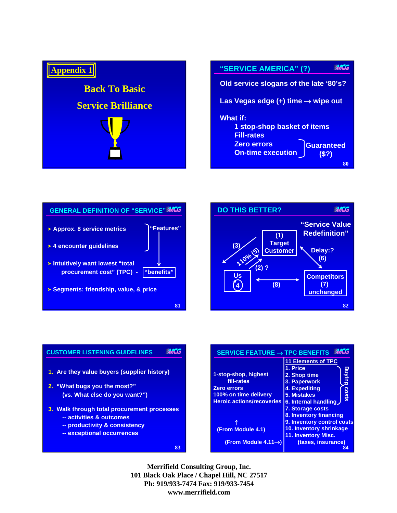







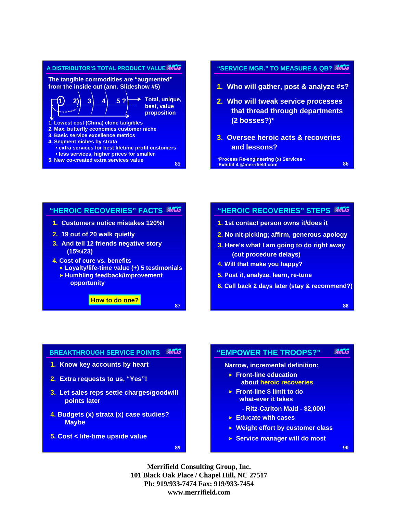

# **"SERVICE MGR." TO MEASURE & QB?**

- **1. Who will gather, post & analyze #s?**
- **2. Who will tweak service processes that thread through departments (2 bosses?)\***
- **3. Oversee heroic acts & recoveries and lessons?**

**\*Process Re-engineering (x) Services - Exhibit 4 @merrifield.com**

# **"HEROIC RECOVERIES" FACTS 1. Customers notice mistakes 120%!**

- **2. 19 out of 20 walk quietly**
- **3. And tell 12 friends negative story (15%/23)**
- **4. Cost of cure vs. benefits**
	- **Loyalty/life-time value (+) 5 testimonials**
	- **Humbling feedback/improvement opportunity**

**How to do one?**

### **"HEROIC RECOVERIES" STEPS**

- **1. 1st contact person owns it/does it**
- **2. No nit-picking; affirm, generous apology**
- **3. Here's what I am going to do right away (cut procedure delays)**
- **4. Will that make you happy?**
- **5. Post it, analyze, learn, re-tune**
- **6. Call back 2 days later (stay & recommend?)**

**88**

**86**

#### **MCG BREAKTHROUGH SERVICE POINTS**

- **1. Know key accounts by heart**
- **2. Extra requests to us, "Yes"!**
- **3. Let sales reps settle charges/goodwill points later**
- **4. Budgets (x) strata (x) case studies? Maybe**
- **5. Cost < life-time upside value**

**89**

**87**

#### **"EMPOWER THE TROOPS?" WACG**

**Narrow, incremental definition:**

- **Front-line education about heroic recoveries**
- **Front-line \$ limit to do what-ever it takes**
	- **Ritz-Carlton Maid \$2,000!**
- **Educate with cases**
- **Weight effort by customer class**
- **Service manager will do most**

**90**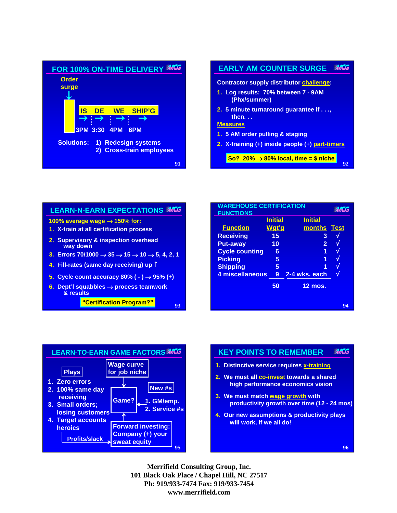

### **MCG EARLY AM COUNTER SURGE Contractor supply distributor challenge:**

- **1. Log results: 70% between 7 9AM (Phx/summer)**
- **2. 5 minute turnaround guarantee if . . ., then. . .**

**Measures**

- **1. 5 AM order pulling & staging**
- **2. X-training (+) inside people (+) part-timers**

**So? 20%** → **80% local, time = \$ niche**

**92**

| <b>LEARN-N-EARN EXPECTATIONS MCG</b>                                                          |  |  |  |  |
|-----------------------------------------------------------------------------------------------|--|--|--|--|
| 100% average wage $\rightarrow$ 150% for:                                                     |  |  |  |  |
| 1. X-train at all certification process                                                       |  |  |  |  |
| 2. Supervisory & inspection overhead<br>way down                                              |  |  |  |  |
| 3. Errors 70/1000 $\rightarrow$ 35 $\rightarrow$ 15 $\rightarrow$ 10 $\rightarrow$ 5, 4, 2, 1 |  |  |  |  |
| 4. Fill-rates (same day receiving) up 1                                                       |  |  |  |  |
| 5. Cycle count accuracy 80% (-) $\rightarrow$ 95% (+)                                         |  |  |  |  |
| 6. Dept'l squabbles $\rightarrow$ process teamwork<br>& results                               |  |  |  |  |
| "Certification Program?"<br>ų٦                                                                |  |  |  |  |

| <b>WAREHOUSE CERTIFICATION</b><br><b>FUNCTIONS</b> | <b>MACG</b>             |                          |             |
|----------------------------------------------------|-------------------------|--------------------------|-------------|
| <b>Function</b>                                    | <b>Initial</b><br>Wgt'g | <b>Initial</b><br>months | <b>Test</b> |
| <b>Receiving</b>                                   | 15                      | 3                        |             |
| <b>Put-away</b><br><b>Cycle counting</b>           | 10<br>6                 | $\overline{2}$<br>1      |             |
| <b>Picking</b>                                     | 5                       | 1                        |             |
| <b>Shipping</b><br>4 miscellaneous                 | 5<br>9                  | 1<br>2-4 wks. each       |             |
|                                                    | 50                      | <b>12 mos.</b>           |             |
|                                                    |                         |                          | 94          |



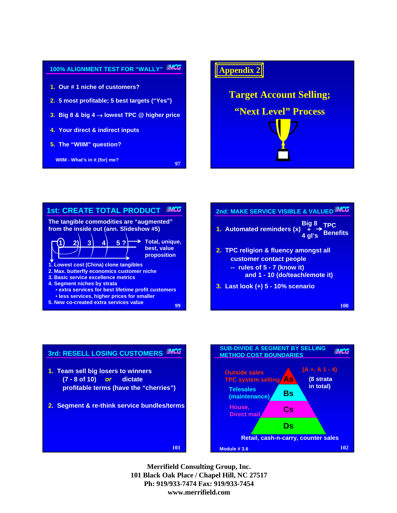







**102**

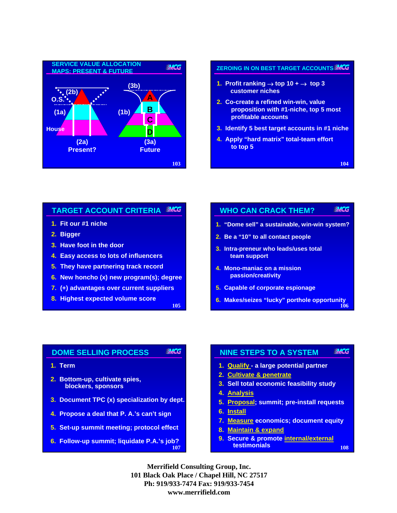

# **ZEROING IN ON BEST TARGET ACCOUNTS**

- **1. Profit ranking**  $\rightarrow$  **top 10 +**  $\rightarrow$  **top 3 customer niches**
- **2. Co-create a refined win-win, value proposition with #1-niche, top 5 most profitable accounts**
- **3. Identify 5 best target accounts in #1 niche**
- **4. Apply "hard matrix" total-team effort to top 5**

**104**

#### **MCG TARGET ACCOUNT CRITERIA**

- **1. Fit our #1 niche**
- **2. Bigger**
- **3. Have foot in the door**
- **4. Easy access to lots of influencers**
- **5. They have partnering track record**
- **6. New honcho (x) new program(s); degree**
- **7. (+) advantages over current suppliers**
- **8. Highest expected volume score**

**105**

#### **MCG WHO CAN CRACK THEM?**

- **1. "Dome sell" a sustainable, win-win system?**
- **2. Be a "10" to all contact people**
- **3. Intra-preneur who leads/uses total team support**
- **4. Mono-maniac on a mission passion/creativity**
- **5. Capable of corporate espionage**
- **106 6. Makes/seizes "lucky" porthole opportunity**

#### **DOME SELLING PROCESS MCG**

- **1. Term**
- **2. Bottom-up, cultivate spies, blockers, sponsors**
- **3. Document TPC (x) specialization by dept.**
- **4. Propose a deal that P. A.'s can't sign**
- **5. Set-up summit meeting; protocol effect**
- **107 6. Follow-up summit; liquidate P.A.'s job?**

#### **NINE STEPS TO A SYSTEM MACG**

- **1. Qualify a large potential partner**
- **2. Cultivate & penetrate**
- **3. Sell total economic feasibility study**
- **4. Analysis**
- **5. Proposal; summit; pre-install requests**
- **6. Install**
- **7. Measure economics; document equity**
- **8. Maintain & expand**
- **108 9. Secure & promote internal/external testimonials**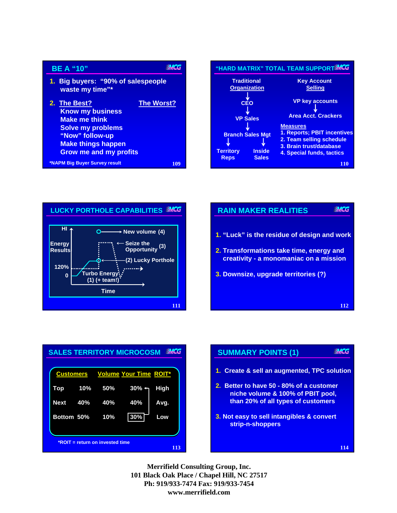| <b>BE A "10"</b>                                                                                                                                                             |                   |  |
|------------------------------------------------------------------------------------------------------------------------------------------------------------------------------|-------------------|--|
| 1. Big buyers: "90% of salespeople<br>waste my time"*                                                                                                                        |                   |  |
| 2. The Best?<br><b>Know my business</b><br><b>Make me think</b><br><b>Solve my problems</b><br>"Now" follow-up<br><b>Make things happen</b><br><b>Grow me and my profits</b> | <b>The Worst?</b> |  |
| *NAPM Big Buyer Survey result<br>109                                                                                                                                         |                   |  |





# **MCG RAIN MAKER REALITIES 1. "Luck" is the residue of design and work 2. Transformations take time, energy and creativity - a monomaniac on a mission 3. Downsize, upgrade territories (?) 112**